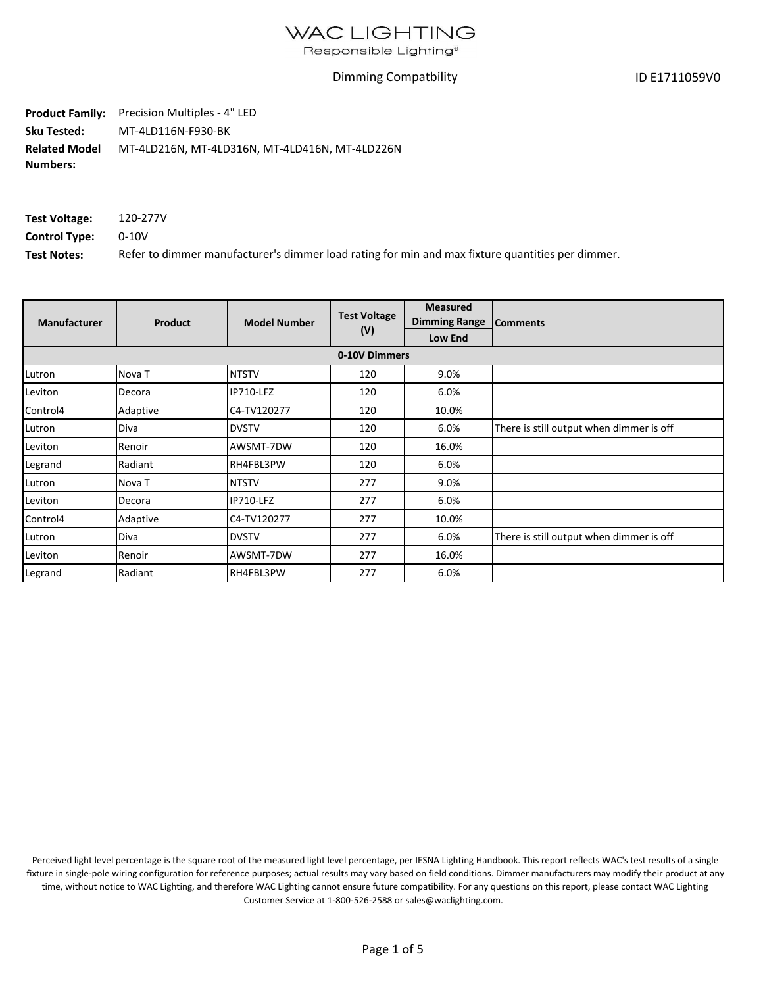Responsible Lighting<sup>®</sup>

#### Dimming Compatbility

ID E1711059V0

**Product Family:** Precision Multiples - 4" LED **Sku Tested:**  MT-4LD116N-F930-BK **Related Model Numbers:** MT-4LD216N, MT-4LD316N, MT-4LD416N, MT-4LD226N

| Test Voltage:        | 120-277V                                                                                         |
|----------------------|--------------------------------------------------------------------------------------------------|
| <b>Control Type:</b> | 0-10V                                                                                            |
| <b>Test Notes:</b>   | Refer to dimmer manufacturer's dimmer load rating for min and max fixture quantities per dimmer. |

| <b>Manufacturer</b> | Product  | <b>Model Number</b> | <b>Test Voltage</b><br>(V) | <b>Measured</b><br><b>Dimming Range</b> | <b>Comments</b>                          |
|---------------------|----------|---------------------|----------------------------|-----------------------------------------|------------------------------------------|
|                     |          |                     |                            | <b>Low End</b>                          |                                          |
|                     |          |                     | 0-10V Dimmers              |                                         |                                          |
| Lutron              | Nova T   | <b>NTSTV</b>        | 120                        | 9.0%                                    |                                          |
| Leviton             | Decora   | IP710-LFZ           | 120                        | 6.0%                                    |                                          |
| Control4            | Adaptive | C4-TV120277         | 120                        | 10.0%                                   |                                          |
| Lutron              | Diva     | <b>DVSTV</b>        | 120                        | 6.0%                                    | There is still output when dimmer is off |
| Leviton             | Renoir   | AWSMT-7DW           | 120                        | 16.0%                                   |                                          |
| Legrand             | Radiant  | RH4FBL3PW           | 120                        | 6.0%                                    |                                          |
| Lutron              | Nova T   | <b>NTSTV</b>        | 277                        | 9.0%                                    |                                          |
| Leviton             | Decora   | IP710-LFZ           | 277                        | 6.0%                                    |                                          |
| Control4            | Adaptive | C4-TV120277         | 277                        | 10.0%                                   |                                          |
| Lutron              | Diva     | <b>DVSTV</b>        | 277                        | 6.0%                                    | There is still output when dimmer is off |
| Leviton             | Renoir   | AWSMT-7DW           | 277                        | 16.0%                                   |                                          |
| Legrand             | Radiant  | RH4FBL3PW           | 277                        | 6.0%                                    |                                          |

Perceived light level percentage is the square root of the measured light level percentage, per IESNA Lighting Handbook. This report reflects WAC's test results of a single fixture in single-pole wiring configuration for reference purposes; actual results may vary based on field conditions. Dimmer manufacturers may modify their product at any time, without notice to WAC Lighting, and therefore WAC Lighting cannot ensure future compatibility. For any questions on this report, please contact WAC Lighting Customer Service at 1-800-526-2588 or sales@waclighting.com.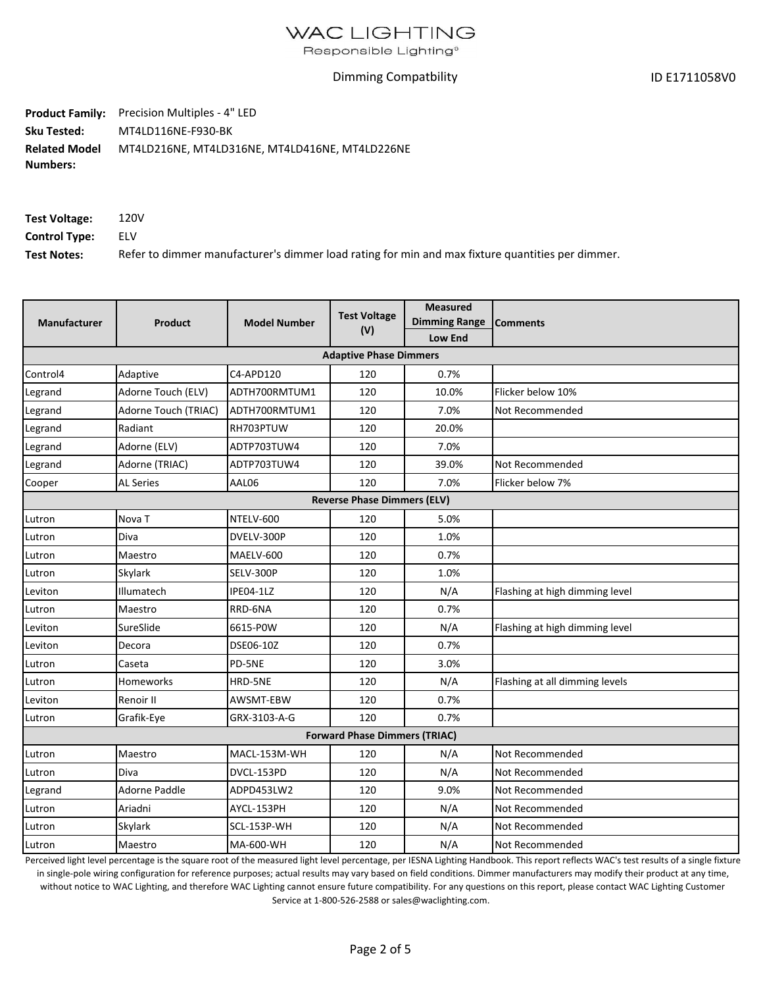Responsible Lighting®

#### Dimming Compatbility

ID E1711058V0

**Product Family:** Precision Multiples - 4" LED **Sku Tested:**  MT4LD116NE-F930-BK **Related Model** MT4LD216NE, MT4LD316NE, MT4LD416NE, MT4LD226NE **Numbers:**

| Test Voltage:        | 120V                                                                                             |
|----------------------|--------------------------------------------------------------------------------------------------|
| <b>Control Type:</b> | ELV                                                                                              |
| <b>Test Notes:</b>   | Refer to dimmer manufacturer's dimmer load rating for min and max fixture quantities per dimmer. |

| <b>Manufacturer</b> | <b>Product</b>                | <b>Model Number</b> | <b>Test Voltage</b><br>(V)           | <b>Measured</b><br><b>Dimming Range</b><br><b>Low End</b> | <b>Comments</b>                |  |  |  |
|---------------------|-------------------------------|---------------------|--------------------------------------|-----------------------------------------------------------|--------------------------------|--|--|--|
|                     | <b>Adaptive Phase Dimmers</b> |                     |                                      |                                                           |                                |  |  |  |
| Control4            | Adaptive                      | C4-APD120           | 120                                  | 0.7%                                                      |                                |  |  |  |
| Legrand             | Adorne Touch (ELV)            | ADTH700RMTUM1       | 120                                  | 10.0%                                                     | Flicker below 10%              |  |  |  |
| Legrand             | Adorne Touch (TRIAC)          | ADTH700RMTUM1       | 120                                  | 7.0%                                                      | Not Recommended                |  |  |  |
| Legrand             | Radiant                       | RH703PTUW           | 120                                  | 20.0%                                                     |                                |  |  |  |
| Legrand             | Adorne (ELV)                  | ADTP703TUW4         | 120                                  | 7.0%                                                      |                                |  |  |  |
| Legrand             | Adorne (TRIAC)                | ADTP703TUW4         | 120                                  | 39.0%                                                     | Not Recommended                |  |  |  |
| Cooper              | <b>AL Series</b>              | AAL06               | 120                                  | 7.0%                                                      | Flicker below 7%               |  |  |  |
|                     |                               |                     | <b>Reverse Phase Dimmers (ELV)</b>   |                                                           |                                |  |  |  |
| Lutron              | Nova <sub>T</sub>             | NTELV-600           | 120                                  | 5.0%                                                      |                                |  |  |  |
| Lutron              | <b>Diva</b>                   | DVELV-300P          | 120                                  | 1.0%                                                      |                                |  |  |  |
| Lutron              | Maestro                       | MAELV-600           | 120                                  | 0.7%                                                      |                                |  |  |  |
| Lutron              | Skylark                       | SELV-300P           | 120                                  | 1.0%                                                      |                                |  |  |  |
| Leviton             | Illumatech                    | IPE04-1LZ           | 120                                  | N/A                                                       | Flashing at high dimming level |  |  |  |
| Lutron              | Maestro                       | RRD-6NA             | 120                                  | 0.7%                                                      |                                |  |  |  |
| Leviton             | SureSlide                     | 6615-P0W            | 120                                  | N/A                                                       | Flashing at high dimming level |  |  |  |
| Leviton             | Decora                        | DSE06-10Z           | 120                                  | 0.7%                                                      |                                |  |  |  |
| Lutron              | Caseta                        | PD-5NE              | 120                                  | 3.0%                                                      |                                |  |  |  |
| Lutron              | Homeworks                     | HRD-5NE             | 120                                  | N/A                                                       | Flashing at all dimming levels |  |  |  |
| Leviton             | Renoir II                     | AWSMT-EBW           | 120                                  | 0.7%                                                      |                                |  |  |  |
| Lutron              | Grafik-Eye                    | GRX-3103-A-G        | 120                                  | 0.7%                                                      |                                |  |  |  |
|                     |                               |                     | <b>Forward Phase Dimmers (TRIAC)</b> |                                                           |                                |  |  |  |
| Lutron              | Maestro                       | MACL-153M-WH        | 120                                  | N/A                                                       | Not Recommended                |  |  |  |
| Lutron              | <b>Diva</b>                   | DVCL-153PD          | 120                                  | N/A                                                       | Not Recommended                |  |  |  |
| Legrand             | Adorne Paddle                 | ADPD453LW2          | 120                                  | 9.0%                                                      | Not Recommended                |  |  |  |
| Lutron              | Ariadni                       | AYCL-153PH          | 120                                  | N/A                                                       | Not Recommended                |  |  |  |
| Lutron              | Skylark                       | SCL-153P-WH         | 120                                  | N/A                                                       | Not Recommended                |  |  |  |
| Lutron              | Maestro                       | <b>MA-600-WH</b>    | 120                                  | N/A                                                       | Not Recommended                |  |  |  |

Perceived light level percentage is the square root of the measured light level percentage, per IESNA Lighting Handbook. This report reflects WAC's test results of a single fixture in single-pole wiring configuration for reference purposes; actual results may vary based on field conditions. Dimmer manufacturers may modify their product at any time, without notice to WAC Lighting, and therefore WAC Lighting cannot ensure future compatibility. For any questions on this report, please contact WAC Lighting Customer Service at 1-800-526-2588 or sales@waclighting.com.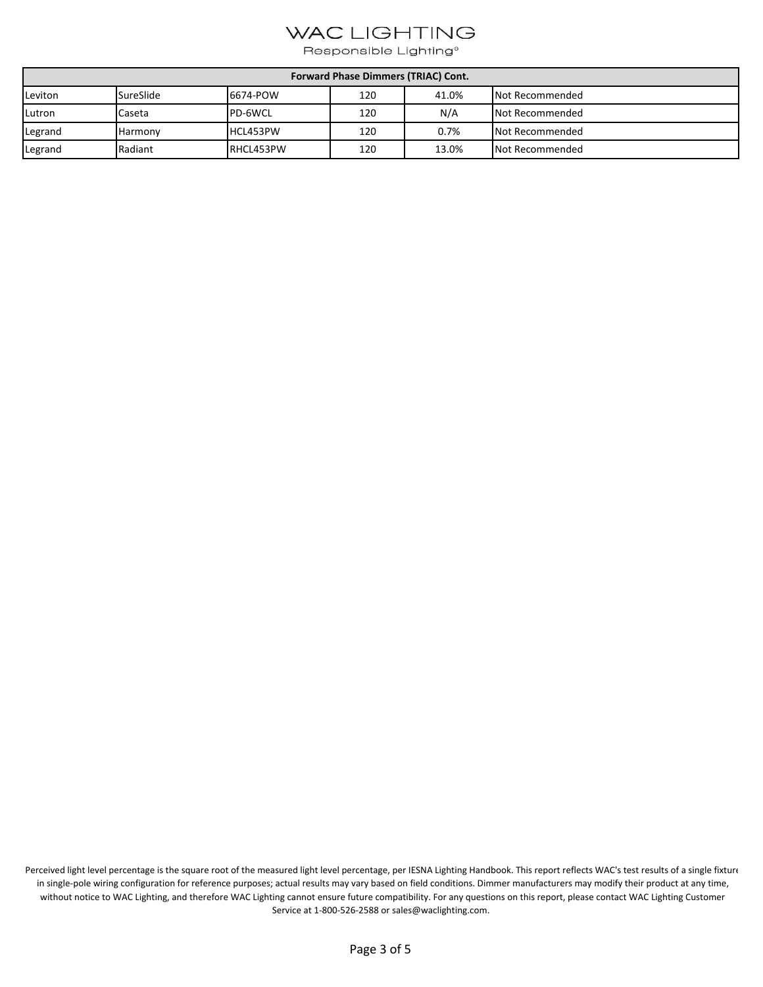Responsible Lighting®

| Forward Phase Dimmers (TRIAC) Cont. |                  |           |     |       |                        |  |
|-------------------------------------|------------------|-----------|-----|-------|------------------------|--|
| Leviton                             | <b>SureSlide</b> | 6674-POW  | 120 | 41.0% | <b>Not Recommended</b> |  |
| Lutron                              | Caseta           | PD-6WCL   | 120 | N/A   | <b>Not Recommended</b> |  |
| Legrand                             | <b>Harmony</b>   | HCL453PW  | 120 | 0.7%  | Not Recommended        |  |
| Legrand                             | Radiant          | RHCL453PW | 120 | 13.0% | Not Recommended        |  |

Perceived light level percentage is the square root of the measured light level percentage, per IESNA Lighting Handbook. This report reflects WAC's test results of a single fixture in single-pole wiring configuration for reference purposes; actual results may vary based on field conditions. Dimmer manufacturers may modify their product at any time, without notice to WAC Lighting, and therefore WAC Lighting cannot ensure future compatibility. For any questions on this report, please contact WAC Lighting Customer Service at 1-800-526-2588 or sales@waclighting.com.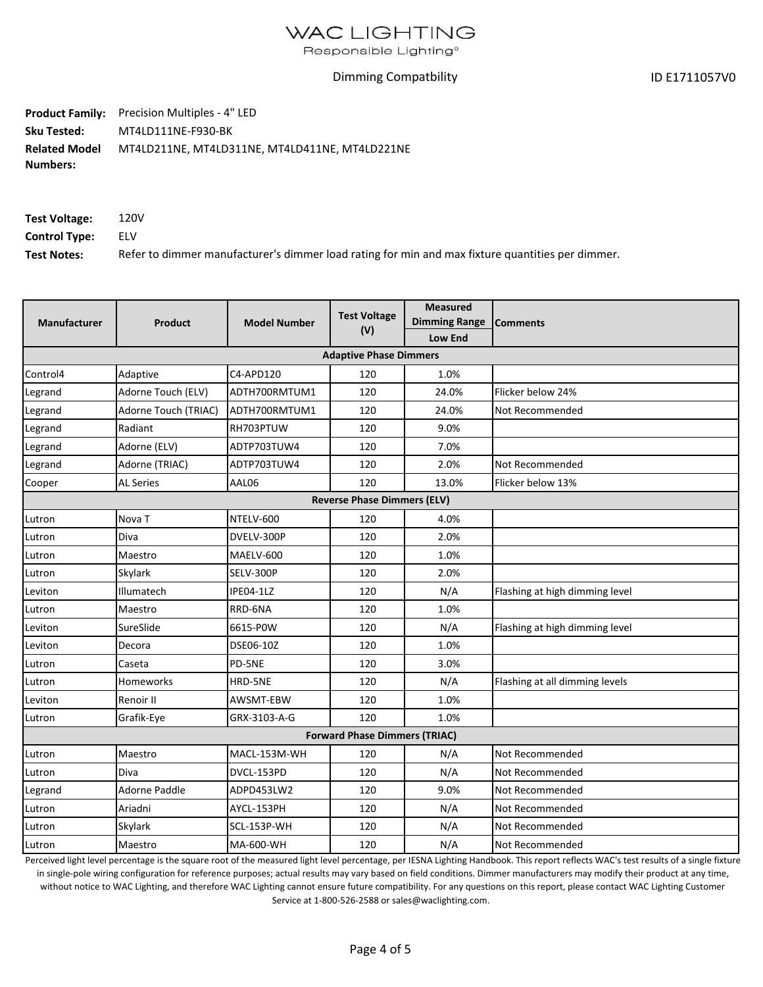Responsible Lighting®

#### Dimming Compatbility

ID E1711057V0

Product Family: Precision Multiples - 4" LED **Sku Tested:**  MT4LD111NE-F930-BK **Related Model** MT4LD211NE, MT4LD311NE, MT4LD411NE, MT4LD221NE **Numbers:**

| Test Voltage:        | 120V                                                                                             |
|----------------------|--------------------------------------------------------------------------------------------------|
| <b>Control Type:</b> | ELV                                                                                              |
| <b>Test Notes:</b>   | Refer to dimmer manufacturer's dimmer load rating for min and max fixture quantities per dimmer. |

| <b>Manufacturer</b> | <b>Product</b>       | <b>Model Number</b> | <b>Test Voltage</b><br>(V)           | <b>Measured</b><br><b>Dimming Range</b><br>Low End | <b>Comments</b>                |
|---------------------|----------------------|---------------------|--------------------------------------|----------------------------------------------------|--------------------------------|
|                     |                      |                     | <b>Adaptive Phase Dimmers</b>        |                                                    |                                |
| Control4            | Adaptive             | C4-APD120           | 120                                  | 1.0%                                               |                                |
| Legrand             | Adorne Touch (ELV)   | ADTH700RMTUM1       | 120                                  | 24.0%                                              | Flicker below 24%              |
| Legrand             | Adorne Touch (TRIAC) | ADTH700RMTUM1       | 120                                  | 24.0%                                              | Not Recommended                |
| Legrand             | Radiant              | RH703PTUW           | 120                                  | 9.0%                                               |                                |
| Legrand             | Adorne (ELV)         | ADTP703TUW4         | 120                                  | 7.0%                                               |                                |
| Legrand             | Adorne (TRIAC)       | ADTP703TUW4         | 120                                  | 2.0%                                               | Not Recommended                |
| Cooper              | <b>AL Series</b>     | AAL06               | 120                                  | 13.0%                                              | Flicker below 13%              |
|                     |                      |                     | <b>Reverse Phase Dimmers (ELV)</b>   |                                                    |                                |
| Lutron              | Nova <sub>T</sub>    | NTELV-600           | 120                                  | 4.0%                                               |                                |
| Lutron              | Diva                 | DVELV-300P          | 120                                  | 2.0%                                               |                                |
| Lutron              | Maestro              | MAELV-600           | 120                                  | 1.0%                                               |                                |
| Lutron              | Skylark              | SELV-300P           | 120                                  | 2.0%                                               |                                |
| Leviton             | Illumatech           | IPE04-1LZ           | 120                                  | N/A                                                | Flashing at high dimming level |
| Lutron              | Maestro              | RRD-6NA             | 120                                  | 1.0%                                               |                                |
| Leviton             | SureSlide            | 6615-P0W            | 120                                  | N/A                                                | Flashing at high dimming level |
| Leviton             | Decora               | DSE06-10Z           | 120                                  | 1.0%                                               |                                |
| Lutron              | Caseta               | PD-5NE              | 120                                  | 3.0%                                               |                                |
| Lutron              | <b>Homeworks</b>     | HRD-5NE             | 120                                  | N/A                                                | Flashing at all dimming levels |
| Leviton             | Renoir II            | AWSMT-EBW           | 120                                  | 1.0%                                               |                                |
| Lutron              | Grafik-Eye           | GRX-3103-A-G        | 120                                  | 1.0%                                               |                                |
|                     |                      |                     | <b>Forward Phase Dimmers (TRIAC)</b> |                                                    |                                |
| Lutron              | Maestro              | MACL-153M-WH        | 120                                  | N/A                                                | Not Recommended                |
| Lutron              | Diva                 | DVCL-153PD          | 120                                  | N/A                                                | Not Recommended                |
| Legrand             | Adorne Paddle        | ADPD453LW2          | 120                                  | 9.0%                                               | Not Recommended                |
| Lutron              | Ariadni              | AYCL-153PH          | 120                                  | N/A                                                | Not Recommended                |
| Lutron              | Skylark              | SCL-153P-WH         | 120                                  | N/A                                                | Not Recommended                |
| Lutron              | Maestro              | MA-600-WH           | 120                                  | N/A                                                | Not Recommended                |

Perceived light level percentage is the square root of the measured light level percentage, per IESNA Lighting Handbook. This report reflects WAC's test results of a single fixture

in single-pole wiring configuration for reference purposes; actual results may vary based on field conditions. Dimmer manufacturers may modify their product at any time, without notice to WAC Lighting, and therefore WAC Lighting cannot ensure future compatibility. For any questions on this report, please contact WAC Lighting Customer Service at 1-800-526-2588 or sales@waclighting.com.